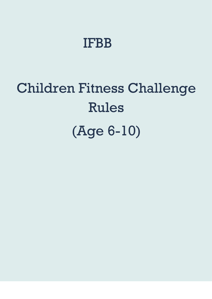# IFBB

# Children Fitness Challenge Rules (Age 6-10)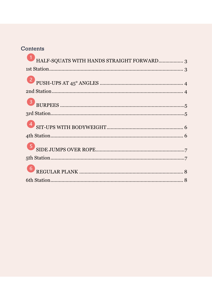#### Contents

| HALF-SQUATS WITH HANDS STRAIGHT FORWARD 3 |  |
|-------------------------------------------|--|
|                                           |  |
|                                           |  |
|                                           |  |
|                                           |  |
|                                           |  |
|                                           |  |
|                                           |  |
|                                           |  |
|                                           |  |
|                                           |  |
|                                           |  |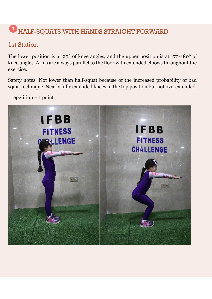# <span id="page-2-0"></span>HALF-SQUATS WITH HANDS STRAIGHT FORWARD

## <span id="page-2-1"></span>1st Station

The lower position is at 90° of knee angles, and the upper position is at 170-180° of knee angles. Arms are always parallel to the floor with extended elbows throughout the exercise.

Safety notes: Not lower than half-squat because of the increased probability of bad squat technique. Nearly fully extended knees in the top position but not overextended.

 $1$  repetition =  $1$  point

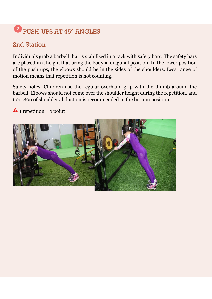# <span id="page-3-0"></span>PUSH-UPS AT 45° ANGLES

# <span id="page-3-1"></span>2nd Station

Individuals grab a barbell that is stabilized in a rack with safety bars. The safety bars are placed in a height that bring the body in diagonal position. In the lower position of the push ups, the elbows should be in the sides of the shoulders. Less range of motion means that repetition is not counting.

Safety notes: Children use the regular-overhand grip with the thumb around the barbell. Elbows should not come over the shoulder height during the repetition, and 60o-80o of shoulder abduction is recommended in the bottom position.

 $\triangle$  1 repetition = 1 point

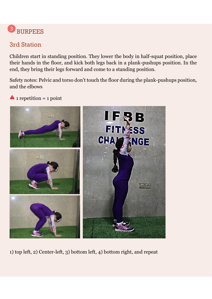#### <span id="page-4-0"></span> $\overline{3}$ BURPEES

# <span id="page-4-1"></span>3rd Station

Children start in standing position. They lower the body in half-squat position, place their hands in the floor, and kick both legs back in a plank-pushups position. In the end, they bring their legs forward and come to a standing position.

Safety notes: Pelvic and torso don't touch the floor during the plank-pushups position, and the elbows

 $\triangle$  1 repetition = 1 point



1) top left, 2) Center-left, 3) bottom left, 4) bottom right, and repeat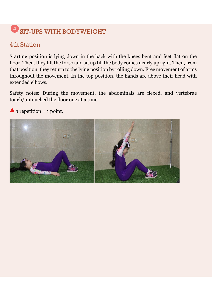# <span id="page-5-0"></span><sup>4</sup> SIT-UPS WITH BODYWEIGHT

## <span id="page-5-1"></span>4th Station

Starting position is lying down in the back with the knees bent and feet flat on the floor. Then, they lift the torso and sit up till the body comes nearly upright. Then, from that position, they return to the lying position by rolling down. Free movement of arms throughout the movement. In the top position, the hands are above their head with extended elbows.

Safety notes: During the movement, the abdominals are flexed, and vertebrae touch/untouched the floor one at a time.

 $\triangle$  1 repetition = 1 point.

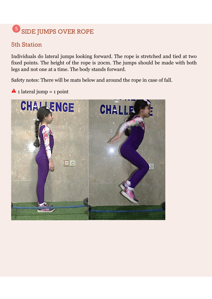#### <span id="page-6-0"></span>6 SIDE JUMPS OVER ROPE

## <span id="page-6-1"></span>5th Station

Individuals do lateral jumps looking forward. The rope is stretched and tied at two fixed points. The height of the rope is 20cm. The jumps should be made with both legs and not one at a time. The body stands forward.

Safety notes: There will be mats below and around the rope in case of fall.

 $\triangle$  1 lateral jump = 1 point